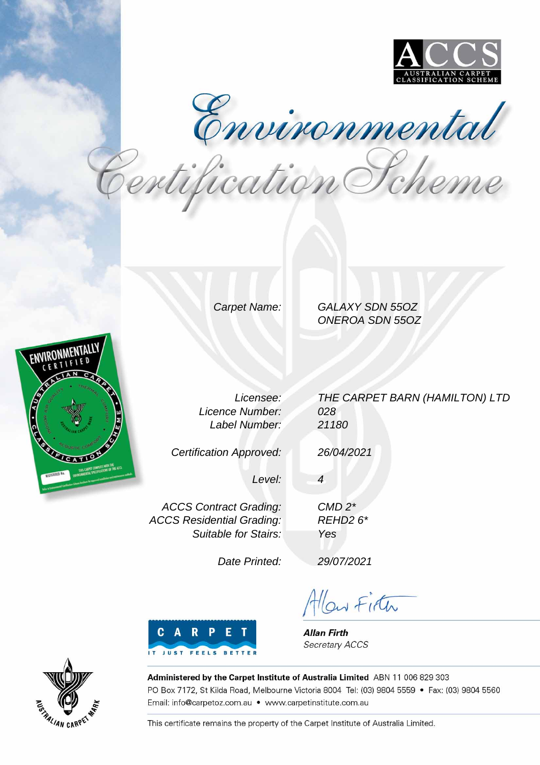

Environmental<br>Pertification Pcheme

Carpet Name: GALAXY SDN 55OZ ONEROA SDN 55OZ



Licensee: Licence Number: Label Number:

Certification Approved:

THE CARPET BARN (HAMILTON) LTD 028 21180

26/04/2021

CMD 2\* REHD2 6\*

Yes

4

Level:

ACCS Contract Grading: ACCS Residential Grading: Suitable for Stairs:

Date Printed:

29/07/2021

Allow Firth



**Allan Firth** Secretary ACCS



Administered by the Carpet Institute of Australia Limited ABN 11 006 829 303 PO Box 7172, St Kilda Road, Melbourne Victoria 8004 Tel: (03) 9804 5559 · Fax: (03) 9804 5560 Email: info@carpetoz.com.au • www.carpetinstitute.com.au

This certificate remains the property of the Carpet Institute of Australia Limited.